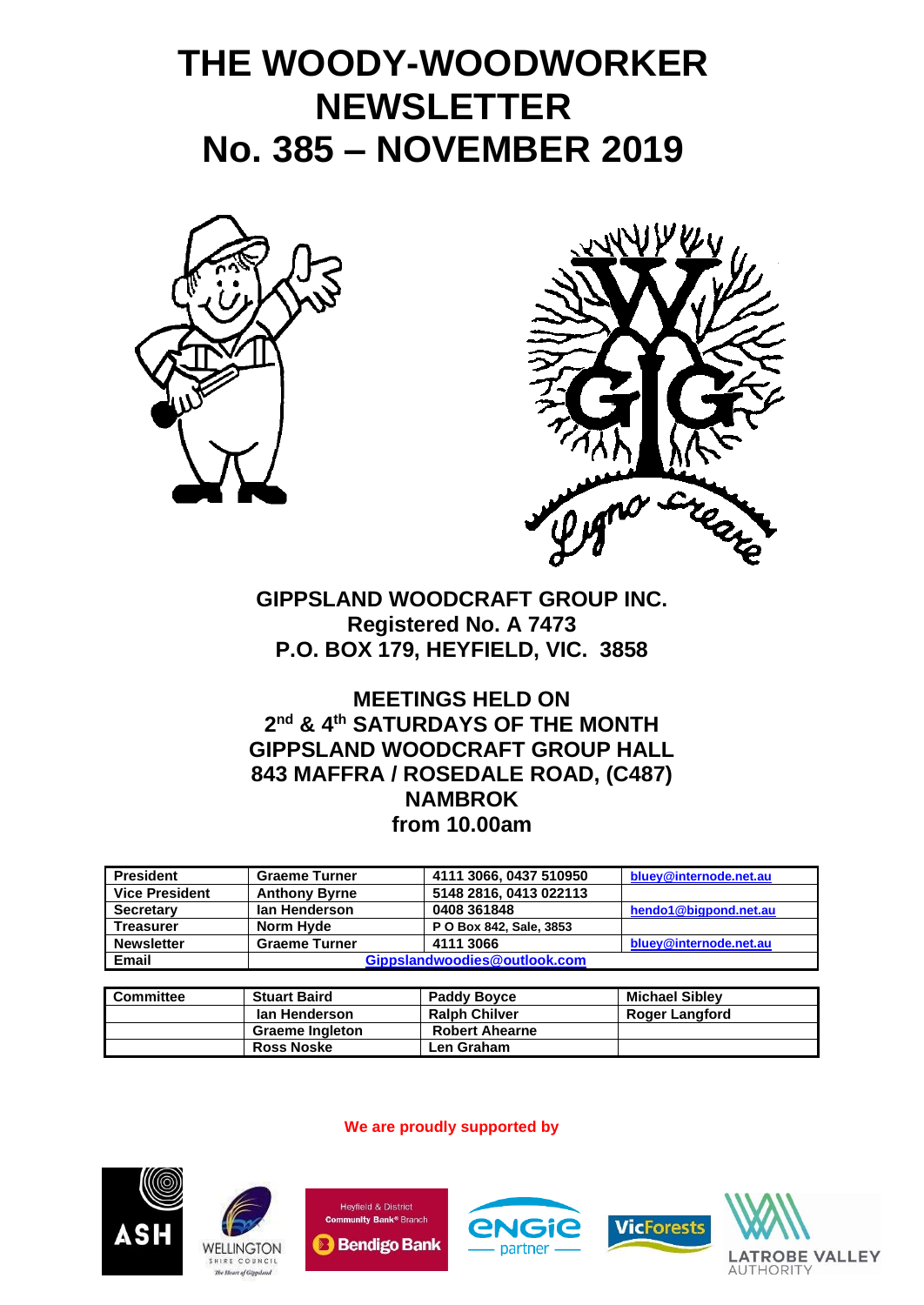# **THE WOODY-WOODWORKER NEWSLETTER No. 385 – NOVEMBER 2019**





**GIPPSLAND WOODCRAFT GROUP INC. Registered No. A 7473 P.O. BOX 179, HEYFIELD, VIC. 3858**

**MEETINGS HELD ON 2 nd & 4th SATURDAYS OF THE MONTH GIPPSLAND WOODCRAFT GROUP HALL 843 MAFFRA / ROSEDALE ROAD, (C487) NAMBROK from 10.00am**

| <b>President</b>      | <b>Graeme Turner</b>         | 4111 3066, 0437 510950  | bluey@internode.net.au |
|-----------------------|------------------------------|-------------------------|------------------------|
| <b>Vice President</b> | <b>Anthony Byrne</b>         | 5148 2816, 0413 022113  |                        |
| <b>Secretary</b>      | lan Henderson                | 0408 361848             | hendo1@bigpond.net.au  |
| Treasurer             | Norm Hyde                    | P O Box 842, Sale, 3853 |                        |
| <b>Newsletter</b>     | <b>Graeme Turner</b>         | 4111 3066               | bluey@internode.net.au |
| <b>Email</b>          | Gippslandwoodies@outlook.com |                         |                        |

| I Committee | <b>Stuart Baird</b>    | <b>Paddy Boyce</b>    | <b>Michael Siblev</b> |
|-------------|------------------------|-----------------------|-----------------------|
|             | lan Henderson          | <b>Ralph Chilver</b>  | <b>Roger Langford</b> |
|             | <b>Graeme Ingleton</b> | <b>Robert Ahearne</b> |                       |
|             | <b>Ross Noske</b>      | Len Graham            |                       |

 **We are proudly supported by**









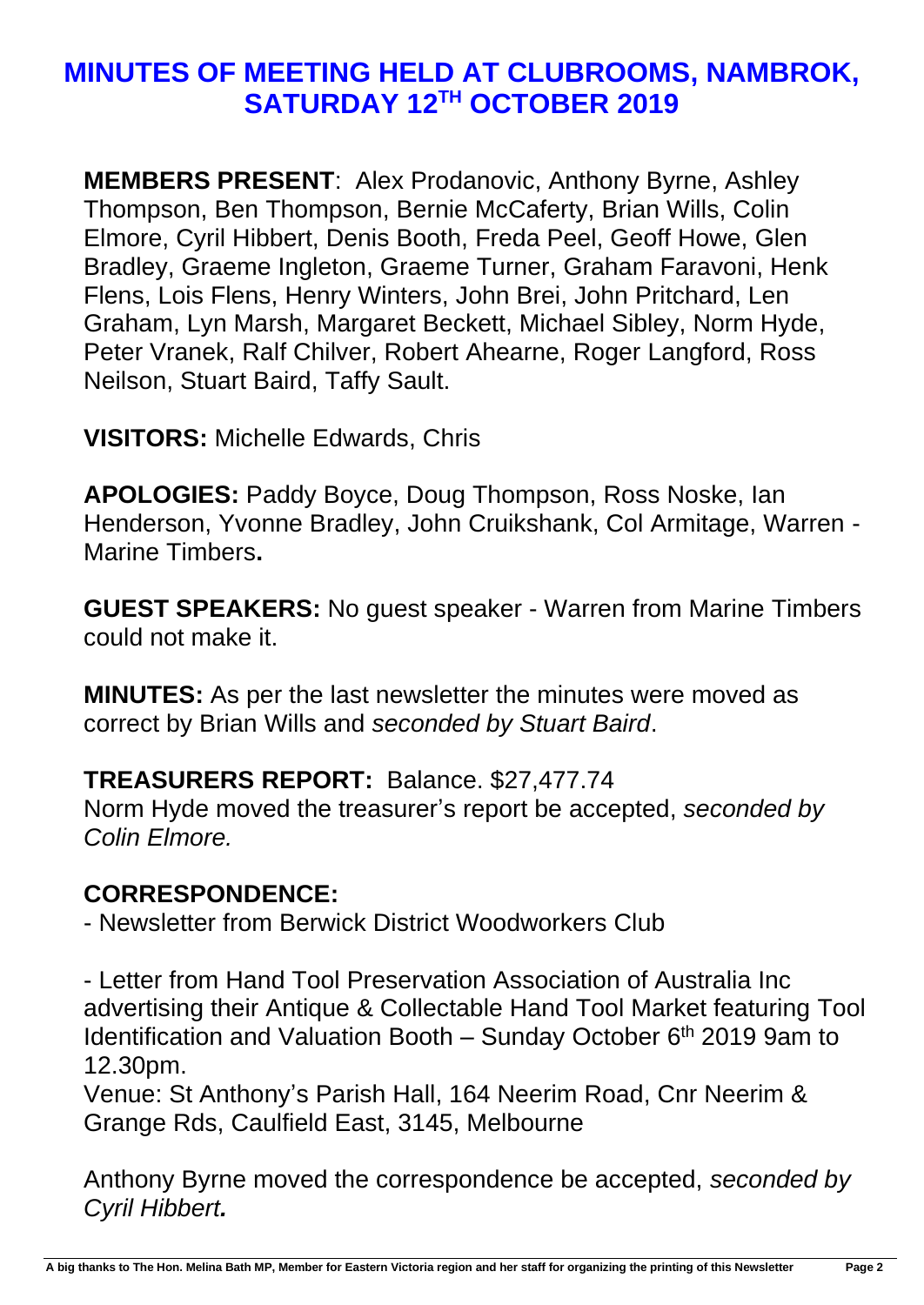### **MINUTES OF MEETING HELD AT CLUBROOMS, NAMBROK, SATURDAY 12 TH OCTOBER 2019**

**MEMBERS PRESENT**: Alex Prodanovic, Anthony Byrne, Ashley Thompson, Ben Thompson, Bernie McCaferty, Brian Wills, Colin Elmore, Cyril Hibbert, Denis Booth, Freda Peel, Geoff Howe, Glen Bradley, Graeme Ingleton, Graeme Turner, Graham Faravoni, Henk Flens, Lois Flens, Henry Winters, John Brei, John Pritchard, Len Graham, Lyn Marsh, Margaret Beckett, Michael Sibley, Norm Hyde, Peter Vranek, Ralf Chilver, Robert Ahearne, Roger Langford, Ross Neilson, Stuart Baird, Taffy Sault.

**VISITORS:** Michelle Edwards, Chris

**APOLOGIES:** Paddy Boyce, Doug Thompson, Ross Noske, Ian Henderson, Yvonne Bradley, John Cruikshank, Col Armitage, Warren - Marine Timbers**.**

**GUEST SPEAKERS:** No guest speaker - Warren from Marine Timbers could not make it.

**MINUTES:** As per the last newsletter the minutes were moved as correct by Brian Wills and *seconded by Stuart Baird*.

**TREASURERS REPORT:** Balance. \$27,477.74 Norm Hyde moved the treasurer's report be accepted, *seconded by Colin Elmore.*

#### **CORRESPONDENCE:**

- Newsletter from Berwick District Woodworkers Club

- Letter from Hand Tool Preservation Association of Australia Inc advertising their Antique & Collectable Hand Tool Market featuring Tool Identification and Valuation Booth – Sunday October  $6<sup>th</sup>$  2019 9am to 12.30pm.

Venue: St Anthony's Parish Hall, 164 Neerim Road, Cnr Neerim & Grange Rds, Caulfield East, 3145, Melbourne

Anthony Byrne moved the correspondence be accepted, *seconded by Cyril Hibbert.*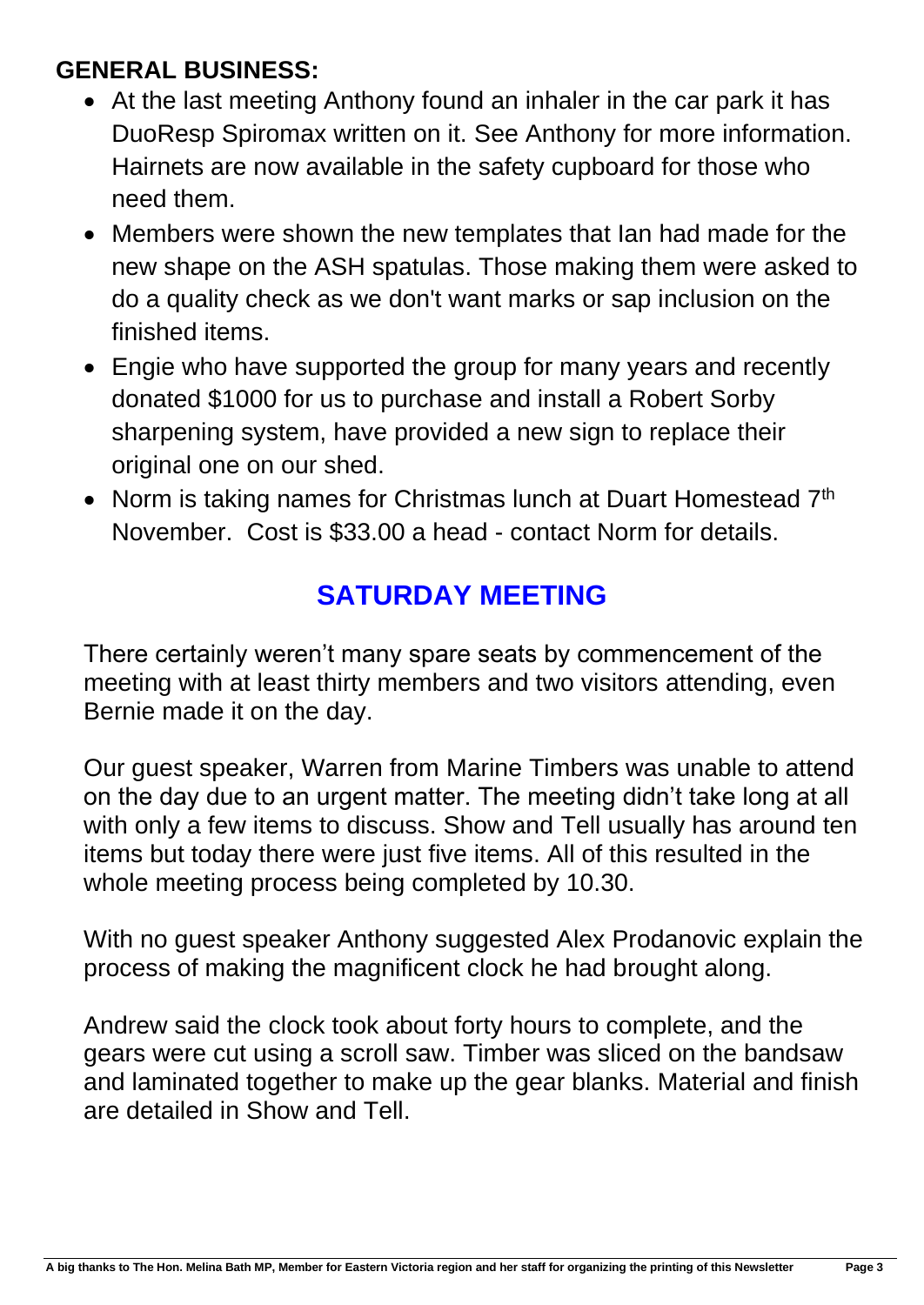### **GENERAL BUSINESS:**

- At the last meeting Anthony found an inhaler in the car park it has DuoResp Spiromax written on it. See Anthony for more information. Hairnets are now available in the safety cupboard for those who need them.
- Members were shown the new templates that Ian had made for the new shape on the ASH spatulas. Those making them were asked to do a quality check as we don't want marks or sap inclusion on the finished items.
- Engie who have supported the group for many years and recently donated \$1000 for us to purchase and install a Robert Sorby sharpening system, have provided a new sign to replace their original one on our shed.
- Norm is taking names for Christmas lunch at Duart Homestead 7<sup>th</sup> November. Cost is \$33.00 a head - contact Norm for details.

# **SATURDAY MEETING**

There certainly weren't many spare seats by commencement of the meeting with at least thirty members and two visitors attending, even Bernie made it on the day.

Our guest speaker, Warren from Marine Timbers was unable to attend on the day due to an urgent matter. The meeting didn't take long at all with only a few items to discuss. Show and Tell usually has around ten items but today there were just five items. All of this resulted in the whole meeting process being completed by 10.30.

With no guest speaker Anthony suggested Alex Prodanovic explain the process of making the magnificent clock he had brought along.

Andrew said the clock took about forty hours to complete, and the gears were cut using a scroll saw. Timber was sliced on the bandsaw and laminated together to make up the gear blanks. Material and finish are detailed in Show and Tell.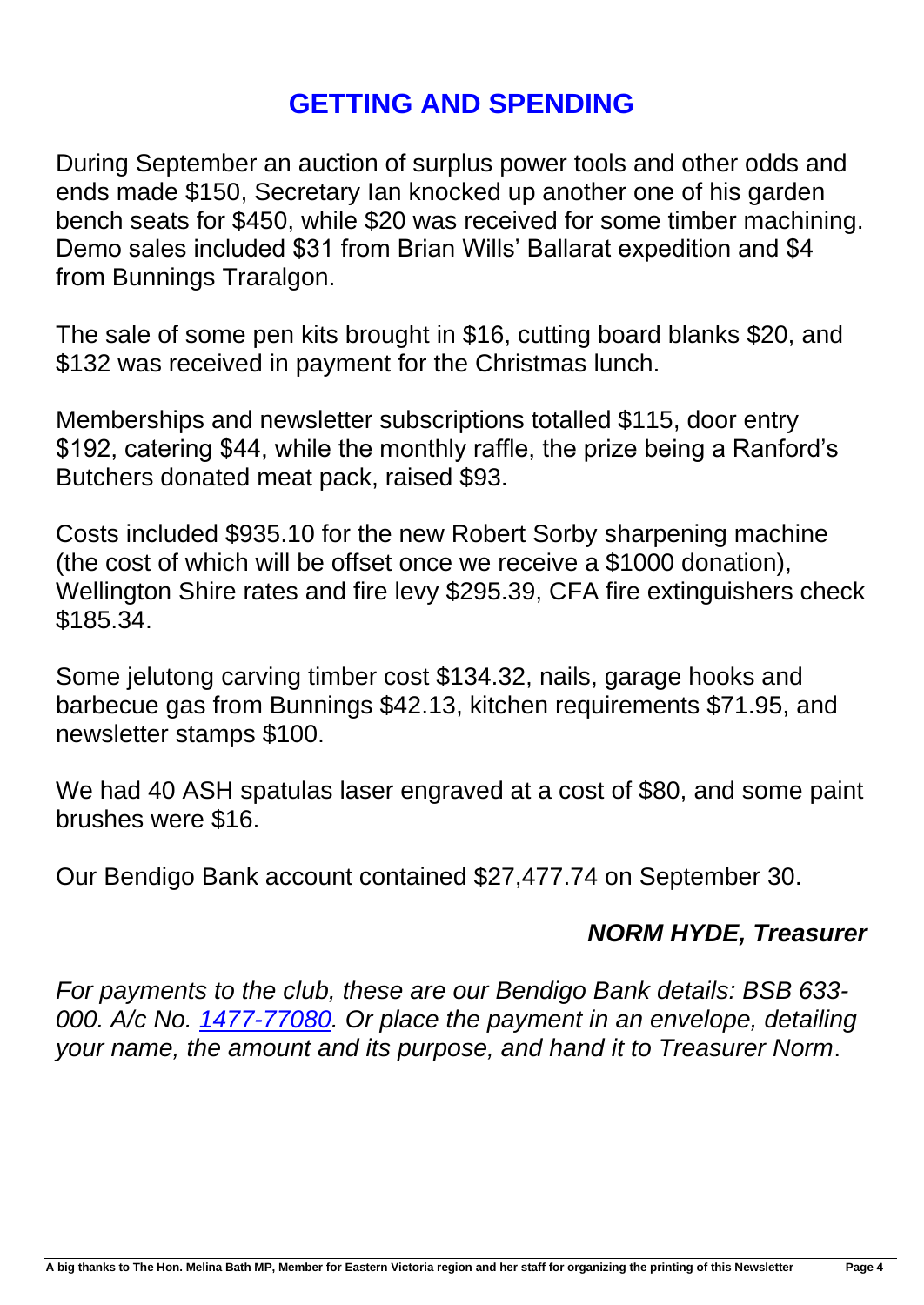### **GETTING AND SPENDING**

During September an auction of surplus power tools and other odds and ends made \$150, Secretary Ian knocked up another one of his garden bench seats for \$450, while \$20 was received for some timber machining. Demo sales included \$31 from Brian Wills' Ballarat expedition and \$4 from Bunnings Traralgon.

The sale of some pen kits brought in \$16, cutting board blanks \$20, and \$132 was received in payment for the Christmas lunch.

Memberships and newsletter subscriptions totalled \$115, door entry \$192, catering \$44, while the monthly raffle, the prize being a Ranford's Butchers donated meat pack, raised \$93.

Costs included \$935.10 for the new Robert Sorby sharpening machine (the cost of which will be offset once we receive a \$1000 donation), Wellington Shire rates and fire levy \$295.39, CFA fire extinguishers check \$185.34.

Some jelutong carving timber cost \$134.32, nails, garage hooks and barbecue gas from Bunnings \$42.13, kitchen requirements \$71.95, and newsletter stamps \$100.

We had 40 ASH spatulas laser engraved at a cost of \$80, and some paint brushes were \$16.

Our Bendigo Bank account contained \$27,477.74 on September 30.

#### *NORM HYDE, Treasurer*

*For payments to the club, these are our Bendigo Bank details: BSB 633- 000. A/c No. [1477-77080.](tel:1477-77080) Or place the payment in an envelope, detailing your name, the amount and its purpose, and hand it to Treasurer Norm*.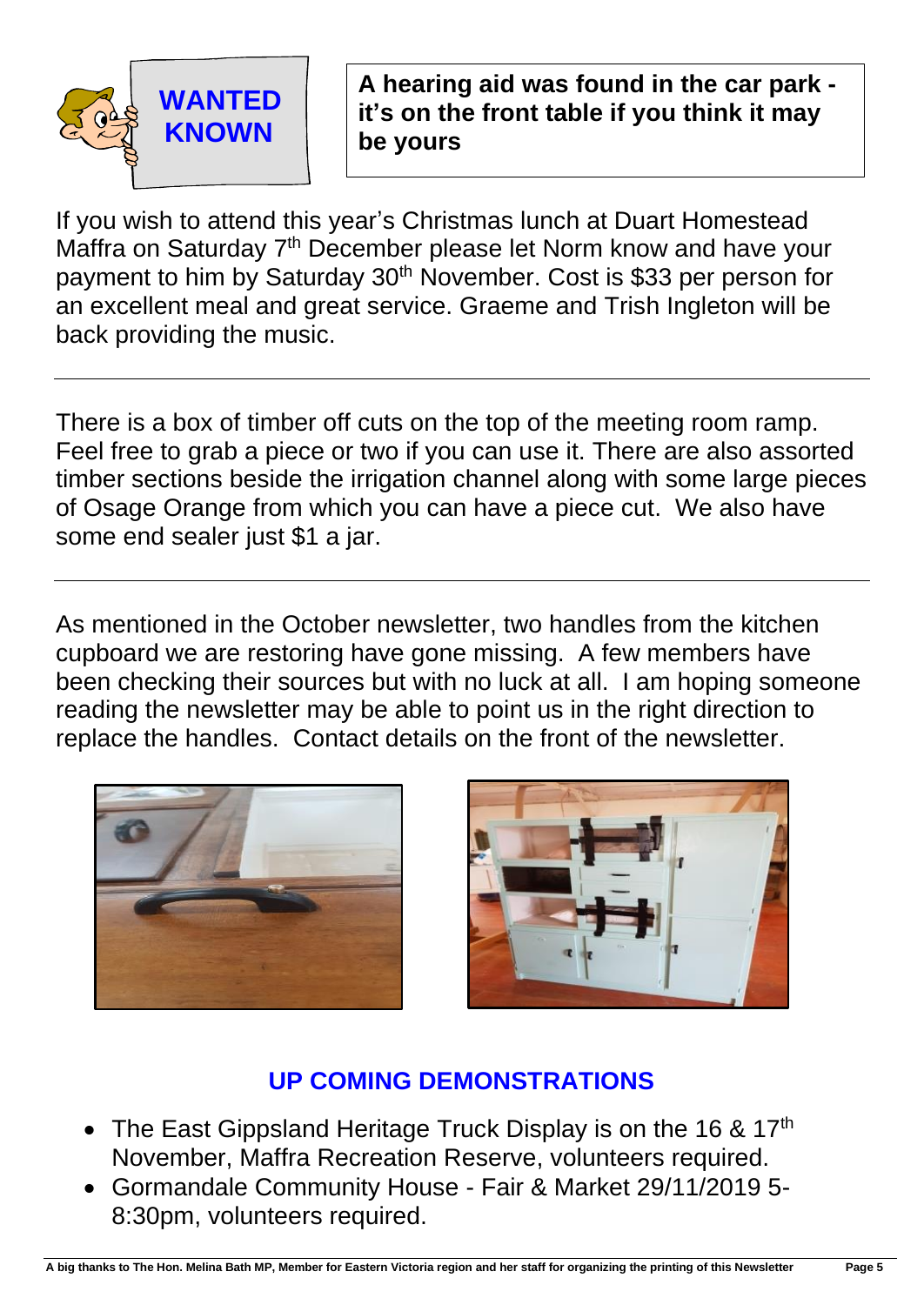

**A hearing aid was found in the car park it's on the front table if you think it may be yours**

If you wish to attend this year's Christmas lunch at Duart Homestead Maffra on Saturday 7<sup>th</sup> December please let Norm know and have your payment to him by Saturday 30<sup>th</sup> November. Cost is \$33 per person for an excellent meal and great service. Graeme and Trish Ingleton will be back providing the music.

There is a box of timber off cuts on the top of the meeting room ramp. Feel free to grab a piece or two if you can use it. There are also assorted timber sections beside the irrigation channel along with some large pieces of Osage Orange from which you can have a piece cut. We also have some end sealer just \$1 a jar.

As mentioned in the October newsletter, two handles from the kitchen cupboard we are restoring have gone missing. A few members have been checking their sources but with no luck at all. I am hoping someone reading the newsletter may be able to point us in the right direction to replace the handles. Contact details on the front of the newsletter.





#### **UP COMING DEMONSTRATIONS**

- The East Gippsland Heritage Truck Display is on the 16 & 17<sup>th</sup> November, Maffra Recreation Reserve, volunteers required.
- Gormandale Community House Fair & Market 29/11/2019 5- 8:30pm, volunteers required.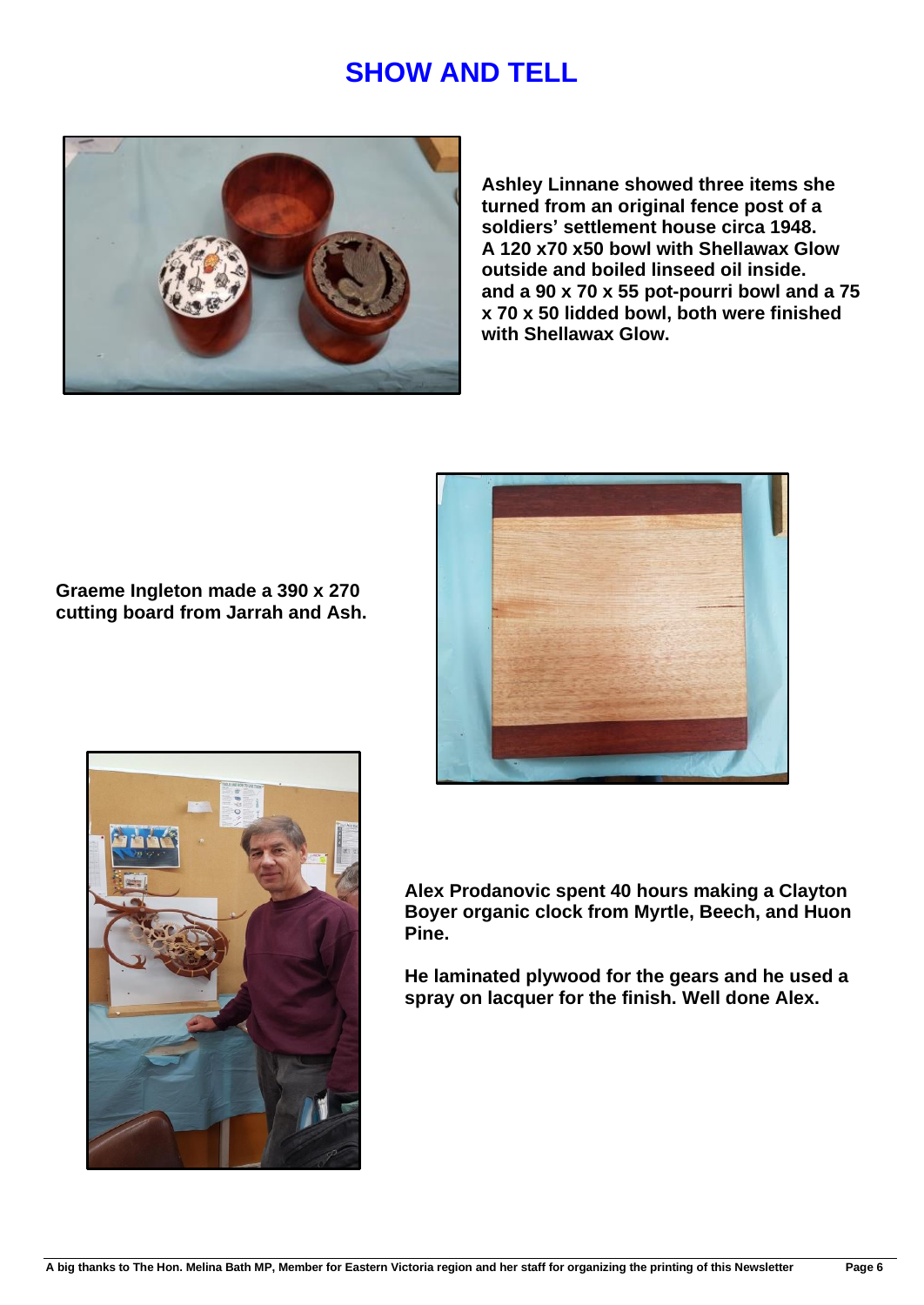### **SHOW AND TELL**



**Ashley Linnane showed three items she turned from an original fence post of a soldiers' settlement house circa 1948. A 120 x70 x50 bowl with Shellawax Glow outside and boiled linseed oil inside. and a 90 x 70 x 55 pot-pourri bowl and a 75 x 70 x 50 lidded bowl, both were finished with Shellawax Glow.** 







**Alex Prodanovic spent 40 hours making a Clayton Boyer organic clock from Myrtle, Beech, and Huon Pine.** 

**He laminated plywood for the gears and he used a spray on lacquer for the finish. Well done Alex.**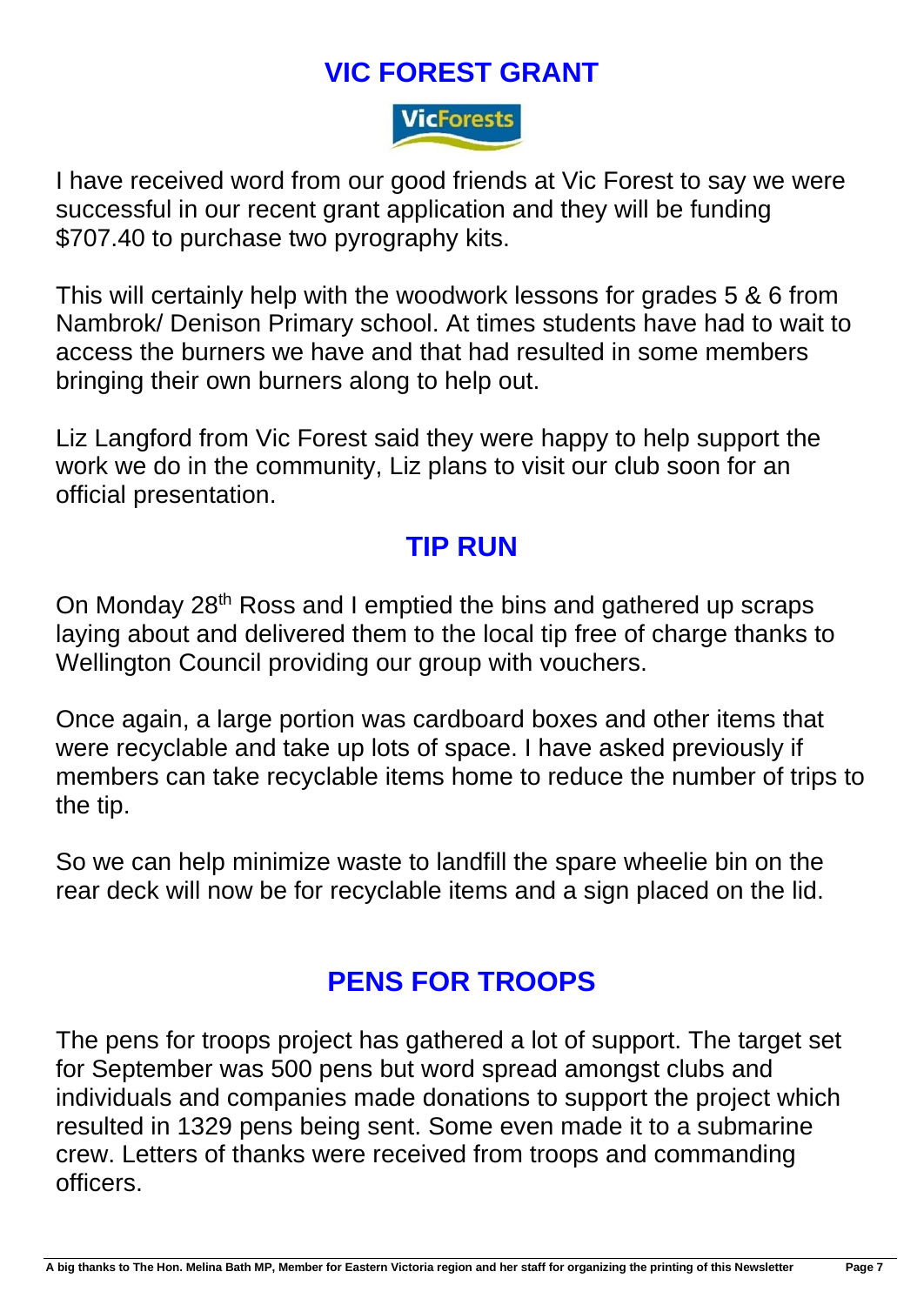# **VIC FOREST GRANT**

**VicForests** 

I have received word from our good friends at Vic Forest to say we were successful in our recent grant application and they will be funding \$707.40 to purchase two pyrography kits.

This will certainly help with the woodwork lessons for grades 5 & 6 from Nambrok/ Denison Primary school. At times students have had to wait to access the burners we have and that had resulted in some members bringing their own burners along to help out.

Liz Langford from Vic Forest said they were happy to help support the work we do in the community, Liz plans to visit our club soon for an official presentation.

### **TIP RUN**

On Monday 28<sup>th</sup> Ross and I emptied the bins and gathered up scraps laying about and delivered them to the local tip free of charge thanks to Wellington Council providing our group with vouchers.

Once again, a large portion was cardboard boxes and other items that were recyclable and take up lots of space. I have asked previously if members can take recyclable items home to reduce the number of trips to the tip.

So we can help minimize waste to landfill the spare wheelie bin on the rear deck will now be for recyclable items and a sign placed on the lid.

# **PENS FOR TROOPS**

The pens for troops project has gathered a lot of support. The target set for September was 500 pens but word spread amongst clubs and individuals and companies made donations to support the project which resulted in 1329 pens being sent. Some even made it to a submarine crew. Letters of thanks were received from troops and commanding officers.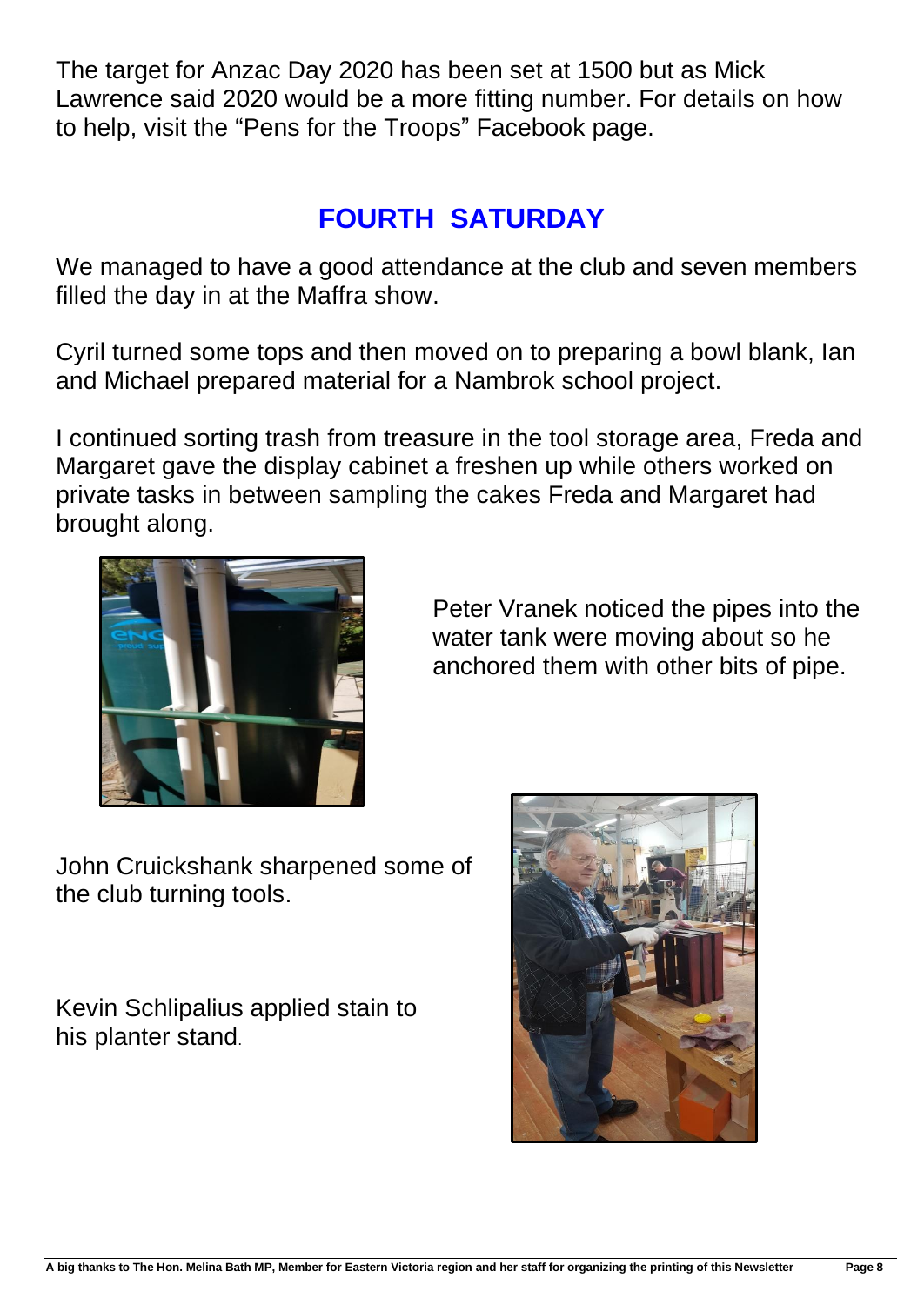The target for Anzac Day 2020 has been set at 1500 but as Mick Lawrence said 2020 would be a more fitting number. For details on how to help, visit the "Pens for the Troops" Facebook page.

# **FOURTH SATURDAY**

We managed to have a good attendance at the club and seven members filled the day in at the Maffra show.

Cyril turned some tops and then moved on to preparing a bowl blank, Ian and Michael prepared material for a Nambrok school project.

I continued sorting trash from treasure in the tool storage area, Freda and Margaret gave the display cabinet a freshen up while others worked on private tasks in between sampling the cakes Freda and Margaret had brought along.



Peter Vranek noticed the pipes into the water tank were moving about so he anchored them with other bits of pipe.

John Cruickshank sharpened some of the club turning tools.

Kevin Schlipalius applied stain to his planter stand.

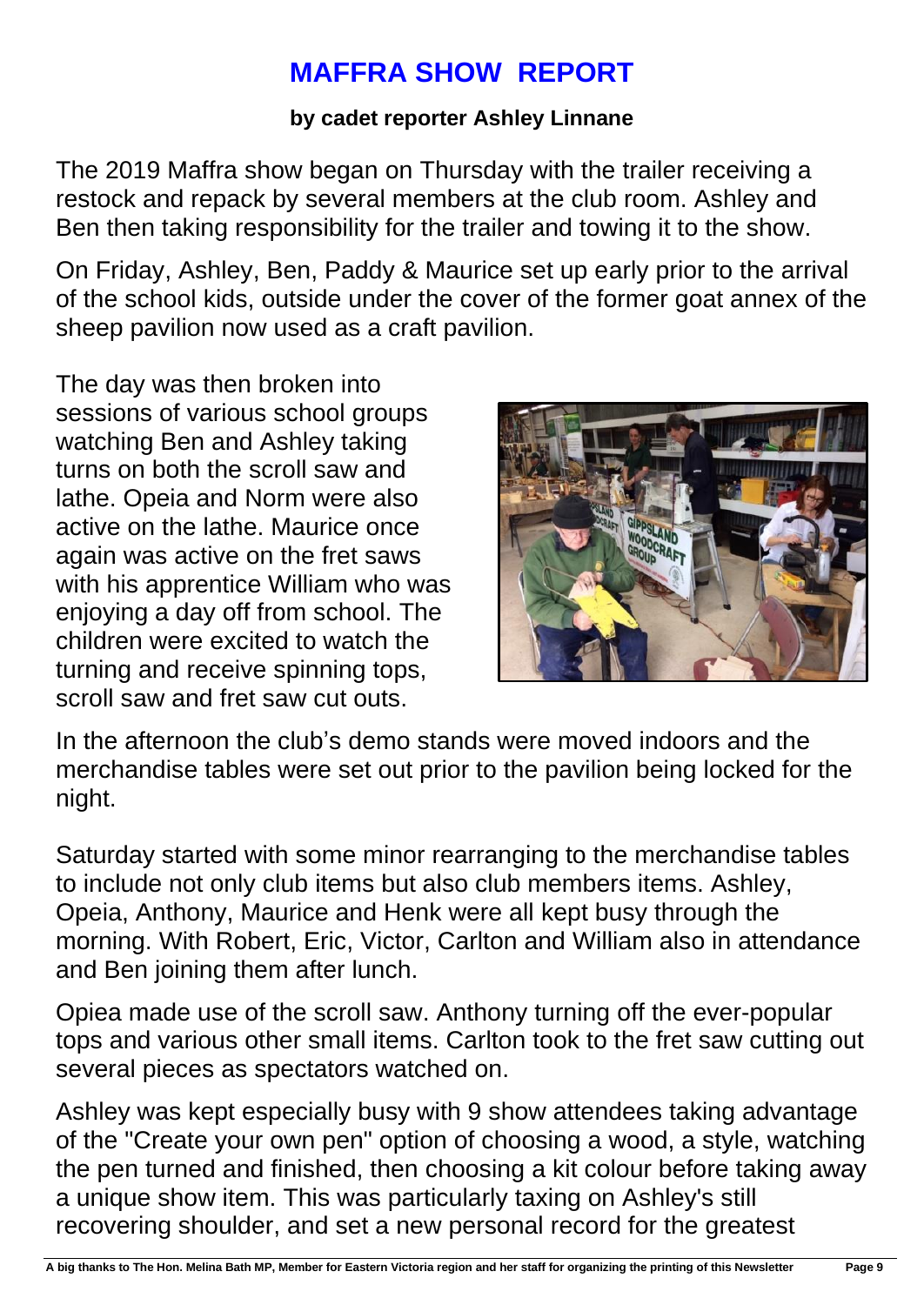# **MAFFRA SHOW REPORT**

#### **by cadet reporter Ashley Linnane**

The 2019 Maffra show began on Thursday with the trailer receiving a restock and repack by several members at the club room. Ashley and Ben then taking responsibility for the trailer and towing it to the show.

On Friday, Ashley, Ben, Paddy & Maurice set up early prior to the arrival of the school kids, outside under the cover of the former goat annex of the sheep pavilion now used as a craft pavilion.

The day was then broken into sessions of various school groups watching Ben and Ashley taking turns on both the scroll saw and lathe. Opeia and Norm were also active on the lathe. Maurice once again was active on the fret saws with his apprentice William who was enjoying a day off from school. The children were excited to watch the turning and receive spinning tops, scroll saw and fret saw cut outs.



In the afternoon the club's demo stands were moved indoors and the merchandise tables were set out prior to the pavilion being locked for the night.

Saturday started with some minor rearranging to the merchandise tables to include not only club items but also club members items. Ashley, Opeia, Anthony, Maurice and Henk were all kept busy through the morning. With Robert, Eric, Victor, Carlton and William also in attendance and Ben joining them after lunch.

Opiea made use of the scroll saw. Anthony turning off the ever-popular tops and various other small items. Carlton took to the fret saw cutting out several pieces as spectators watched on.

Ashley was kept especially busy with 9 show attendees taking advantage of the "Create your own pen" option of choosing a wood, a style, watching the pen turned and finished, then choosing a kit colour before taking away a unique show item. This was particularly taxing on Ashley's still recovering shoulder, and set a new personal record for the greatest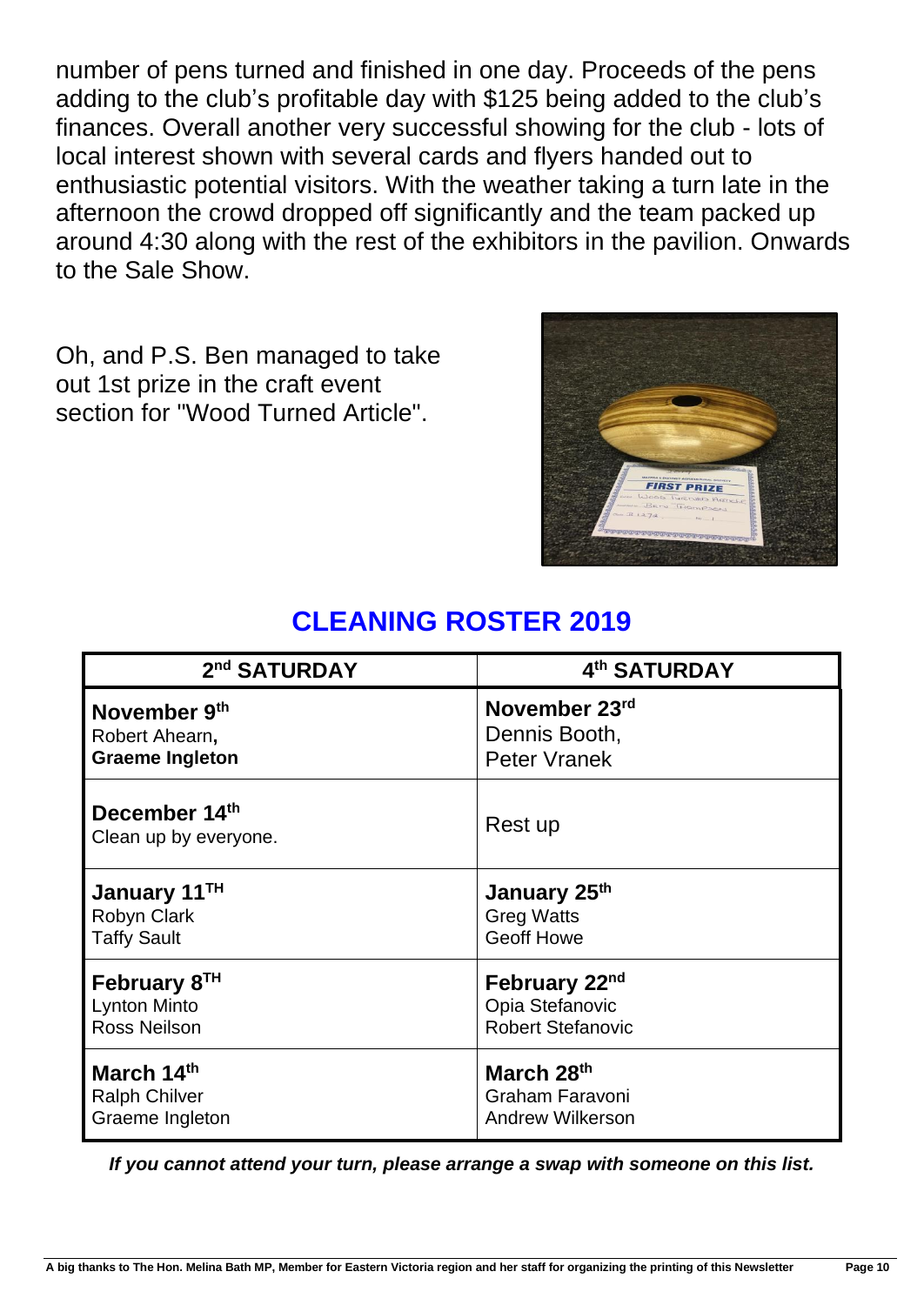number of pens turned and finished in one day. Proceeds of the pens adding to the club's profitable day with \$125 being added to the club's finances. Overall another very successful showing for the club - lots of local interest shown with several cards and flyers handed out to enthusiastic potential visitors. With the weather taking a turn late in the afternoon the crowd dropped off significantly and the team packed up around 4:30 along with the rest of the exhibitors in the pavilion. Onwards to the Sale Show.

Oh, and P.S. Ben managed to take out 1st prize in the craft event section for "Wood Turned Article".



### **CLEANING ROSTER 2019**

| 2 <sup>nd</sup> SATURDAY               | 4 <sup>th</sup> SATURDAY  |
|----------------------------------------|---------------------------|
| November 9th                           | November 23rd             |
| Robert Ahearn,                         | Dennis Booth,             |
| <b>Graeme Ingleton</b>                 | <b>Peter Vranek</b>       |
| December 14th<br>Clean up by everyone. | Rest up                   |
| January 11 <sup>TH</sup>               | January 25th              |
| Robyn Clark                            | <b>Greg Watts</b>         |
| <b>Taffy Sault</b>                     | <b>Geoff Howe</b>         |
| February 8 <sup>TH</sup>               | February 22 <sup>nd</sup> |
| <b>Lynton Minto</b>                    | Opia Stefanovic           |
| <b>Ross Neilson</b>                    | <b>Robert Stefanovic</b>  |
| March 14th                             | March 28th                |
| <b>Ralph Chilver</b>                   | Graham Faravoni           |
| Graeme Ingleton                        | <b>Andrew Wilkerson</b>   |

*If you cannot attend your turn, please arrange a swap with someone on this list.*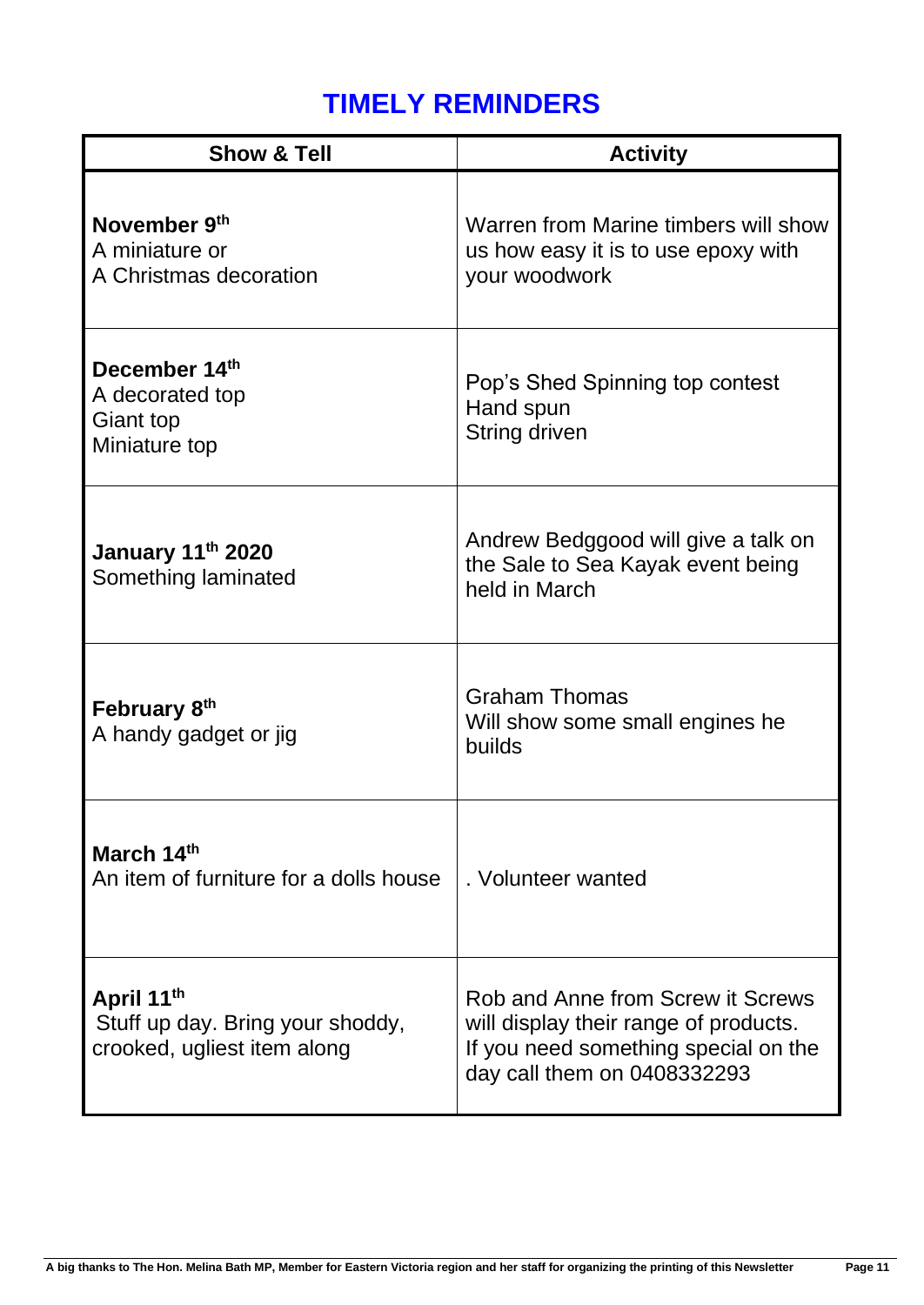# **TIMELY REMINDERS**

| <b>Show &amp; Tell</b>                                                        | <b>Activity</b>                                                                                                                                   |
|-------------------------------------------------------------------------------|---------------------------------------------------------------------------------------------------------------------------------------------------|
| November 9th<br>A miniature or<br>A Christmas decoration                      | Warren from Marine timbers will show<br>us how easy it is to use epoxy with<br>your woodwork                                                      |
| December 14th<br>A decorated top<br>Giant top<br>Miniature top                | Pop's Shed Spinning top contest<br>Hand spun<br><b>String driven</b>                                                                              |
| January 11th 2020<br>Something laminated                                      | Andrew Bedggood will give a talk on<br>the Sale to Sea Kayak event being<br>held in March                                                         |
| February 8th<br>A handy gadget or jig                                         | <b>Graham Thomas</b><br>Will show some small engines he<br>builds                                                                                 |
| March 14th<br>An item of furniture for a dolls house                          | . Volunteer wanted                                                                                                                                |
| April 11th<br>Stuff up day. Bring your shoddy,<br>crooked, ugliest item along | Rob and Anne from Screw it Screws<br>will display their range of products.<br>If you need something special on the<br>day call them on 0408332293 |